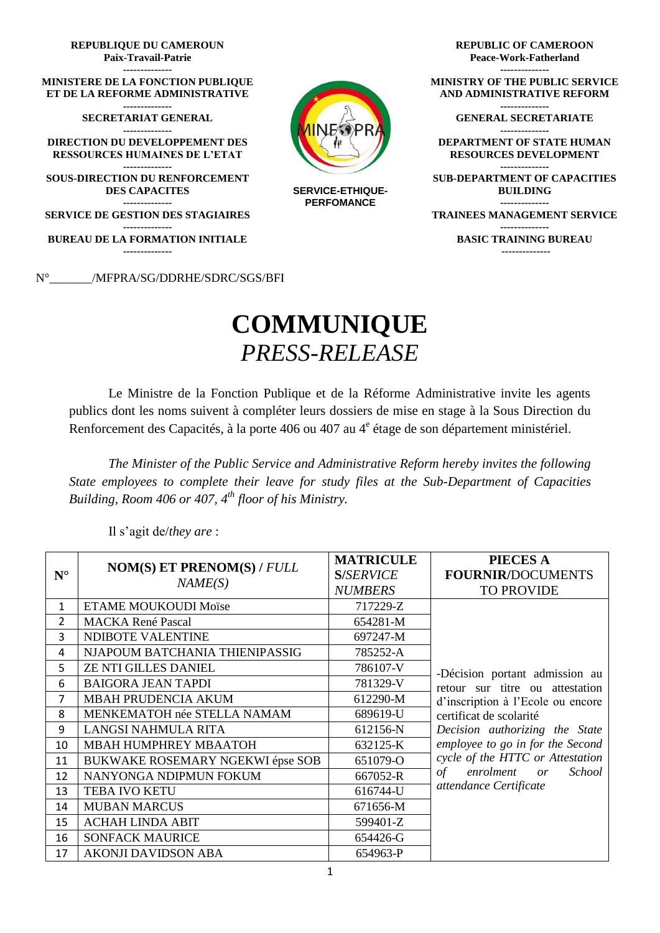

## **COMMUNIQUE** *PRESS-RELEASE*

Le Ministre de la Fonction Publique et de la Réforme Administrative invite les agents publics dont les noms suivent à compléter leurs dossiers de mise en stage à la Sous Direction du Renforcement des Capacités, à la porte 406 ou 407 au 4<sup>e</sup> étage de son département ministériel.

*The Minister of the Public Service and Administrative Reform hereby invites the following State employees to complete their leave for study files at the Sub-Department of Capacities Building, Room 406 or 407, 4th floor of his Ministry.*

**N° NOM(S) ET PRENOM(S) /** *FULL NAME(S)* **MATRICULE S/***SERVICE NUMBERS* **PIECES A FOURNIR/**DOCUMENTS TO PROVIDE 1 ETAME MOUKOUDI Moïse 1 717229-Z -Décision portant admission au retour sur titre ou attestation d'inscription à l'Ecole ou encore certificat de scolarité *Decision authorizing the State employee to go in for the Second cycle of the HTTC or Attestation of enrolment or School attendance Certificate*  2 | MACKA René Pascal 654281-M 3 | NDIBOTE VALENTINE | 697247-M 4 NJAPOUM BATCHANIA THIENIPASSIG 785252-A 5 ZE NTI GILLES DANIEL 786107-V 6 BAIGORA JEAN TAPDI 781329-V 7 | MBAH PRUDENCIA AKUM | 612290-M 8 | MENKEMATOH née STELLA NAMAM | 689619-U 9 LANGSI NAHMULA RITA 612156-N 10 MBAH HUMPHREY MBAATOH 632125-K 11 BUKWAKE ROSEMARY NGEKWI épse SOB 651079-O 12 NANYONGA NDIPMUN FOKUM 667052-R 13 TEBA IVO KETU 616744-U 14 MUBAN MARCUS 671656-M 15 | ACHAH LINDA ABIT | 599401-Z 16 SONFACK MAURICE 654426-G 17 | AKONJI DAVIDSON ABA | 654963-P

Il s'agit de/*they are* :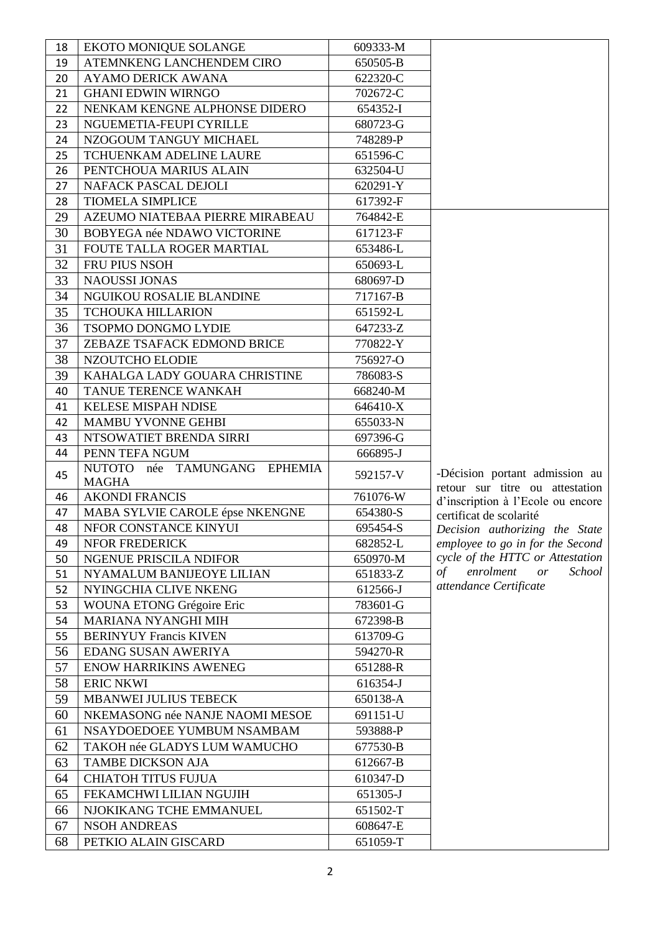| 18       | <b>EKOTO MONIQUE SOLANGE</b>    | 609333-M             |                                                                   |
|----------|---------------------------------|----------------------|-------------------------------------------------------------------|
| 19       | ATEMNKENG LANCHENDEM CIRO       | 650505-B             |                                                                   |
| 20       | <b>AYAMO DERICK AWANA</b>       | 622320-C             |                                                                   |
| 21       | <b>GHANI EDWIN WIRNGO</b>       | 702672-C             |                                                                   |
| 22       | NENKAM KENGNE ALPHONSE DIDERO   | 654352-I             |                                                                   |
| 23       | NGUEMETIA-FEUPI CYRILLE         | 680723-G             |                                                                   |
| 24       | NZOGOUM TANGUY MICHAEL          | 748289-P             |                                                                   |
| 25       | <b>TCHUENKAM ADELINE LAURE</b>  | 651596-C             |                                                                   |
| 26       | PENTCHOUA MARIUS ALAIN          | 632504-U             |                                                                   |
| 27       | NAFACK PASCAL DEJOLI            | 620291-Y             |                                                                   |
| 28       | <b>TIOMELA SIMPLICE</b>         | 617392-F             |                                                                   |
| 29       | AZEUMO NIATEBAA PIERRE MIRABEAU | 764842-E             |                                                                   |
| 30       | BOBYEGA née NDAWO VICTORINE     | 617123-F             |                                                                   |
| 31       | FOUTE TALLA ROGER MARTIAL       | 653486-L             |                                                                   |
| 32       | FRU PIUS NSOH                   | 650693-L             |                                                                   |
| 33       | <b>NAOUSSI JONAS</b>            | 680697-D             |                                                                   |
| 34       | NGUIKOU ROSALIE BLANDINE        | 717167-B             |                                                                   |
| 35       | <b>TCHOUKA HILLARION</b>        | 651592-L             |                                                                   |
| 36       | TSOPMO DONGMO LYDIE             | 647233-Z             |                                                                   |
| 37       | ZEBAZE TSAFACK EDMOND BRICE     | 770822-Y             |                                                                   |
| 38       | NZOUTCHO ELODIE                 | 756927-O             |                                                                   |
| 39       | KAHALGA LADY GOUARA CHRISTINE   | 786083-S             |                                                                   |
| 40       | TANUE TERENCE WANKAH            | 668240-M             |                                                                   |
| 41       | <b>KELESE MISPAH NDISE</b>      | 646410-X             |                                                                   |
| 42       | <b>MAMBU YVONNE GEHBI</b>       | 655033-N             |                                                                   |
| 43       | NTSOWATIET BRENDA SIRRI         | 697396-G             |                                                                   |
| 44       | PENN TEFA NGUM                  | 666895-J             |                                                                   |
|          | née TAMUNGANG EPHEMIA<br>NUTOTO |                      |                                                                   |
| 45       | <b>MAGHA</b>                    | 592157-V             | -Décision portant admission au<br>retour sur titre ou attestation |
| 46       | <b>AKONDI FRANCIS</b>           | 761076-W             | d'inscription à l'Ecole ou encore                                 |
| 47       | MABA SYLVIE CAROLE épse NKENGNE | 654380-S             | certificat de scolarité                                           |
| 48       | NFOR CONSTANCE KINYUI           | 695454-S             | Decision authorizing the State                                    |
| 49       | NFOR FREDERICK                  | 682852-L             | employee to go in for the Second                                  |
| 50       | NGENUE PRISCILA NDIFOR          | 650970-M             | cycle of the HTTC or Attestation                                  |
| 51       | NYAMALUM BANIJEOYE LILIAN       | 651833-Z             | enrolment<br>School<br>$\sigma f$<br>or                           |
| 52       | NYINGCHIA CLIVE NKENG           | 612566-J             | attendance Certificate                                            |
| 53       | WOUNA ETONG Grégoire Eric       | 783601-G             |                                                                   |
|          |                                 |                      |                                                                   |
| 54       | MARIANA NYANGHI MIH             | 672398-B             |                                                                   |
| 55       | <b>BERINYUY Francis KIVEN</b>   | 613709-G             |                                                                   |
| 56       | EDANG SUSAN AWERIYA             | 594270-R             |                                                                   |
| 57       | <b>ENOW HARRIKINS AWENEG</b>    | 651288-R             |                                                                   |
| 58       | <b>ERIC NKWI</b>                | 616354-J             |                                                                   |
| 59       | <b>MBANWEI JULIUS TEBECK</b>    | 650138-A             |                                                                   |
| 60       | NKEMASONG née NANJE NAOMI MESOE | 691151-U             |                                                                   |
| 61       | NSAYDOEDOEE YUMBUM NSAMBAM      | 593888-P             |                                                                   |
| 62       | TAKOH née GLADYS LUM WAMUCHO    | 677530-B             |                                                                   |
| 63       | <b>TAMBE DICKSON AJA</b>        | 612667-B             |                                                                   |
| 64       | <b>CHIATOH TITUS FUJUA</b>      | 610347-D             |                                                                   |
|          | FEKAMCHWI LILIAN NGUJIH         |                      |                                                                   |
| 65       | NJOKIKANG TCHE EMMANUEL         | 651305-J<br>651502-T |                                                                   |
| 66<br>67 | <b>NSOH ANDREAS</b>             | 608647-E             |                                                                   |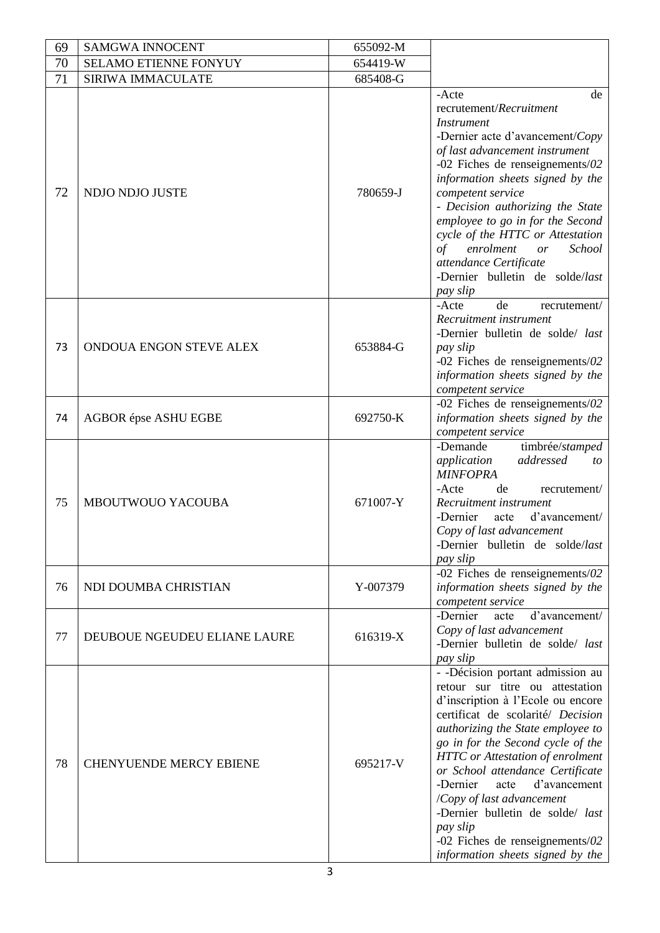| 69 | <b>SAMGWA INNOCENT</b>         | 655092-M |                                                                                                                                                                                                                                                                                                                                                                                                                                                                                                |
|----|--------------------------------|----------|------------------------------------------------------------------------------------------------------------------------------------------------------------------------------------------------------------------------------------------------------------------------------------------------------------------------------------------------------------------------------------------------------------------------------------------------------------------------------------------------|
| 70 | SELAMO ETIENNE FONYUY          | 654419-W |                                                                                                                                                                                                                                                                                                                                                                                                                                                                                                |
| 71 | <b>SIRIWA IMMACULATE</b>       | 685408-G |                                                                                                                                                                                                                                                                                                                                                                                                                                                                                                |
| 72 | NDJO NDJO JUSTE                | 780659-J | -Acte<br>de<br>recrutement/Recruitment<br><i>Instrument</i><br>-Dernier acte d'avancement/Copy<br>of last advancement instrument<br>-02 Fiches de renseignements/02<br>information sheets signed by the<br>competent service<br>- Decision authorizing the State<br>employee to go in for the Second<br>cycle of the HTTC or Attestation<br>of<br>enrolment<br>School<br>or<br>attendance Certificate<br>-Dernier bulletin de solde/last<br>pay slip                                           |
| 73 | ONDOUA ENGON STEVE ALEX        | 653884-G | de<br>-Acte<br>recrutement/<br>Recruitment instrument<br>-Dernier bulletin de solde/ last<br>pay slip<br>-02 Fiches de renseignements/02<br>information sheets signed by the<br>competent service                                                                                                                                                                                                                                                                                              |
| 74 | <b>AGBOR</b> épse ASHU EGBE    | 692750-K | -02 Fiches de renseignements/02<br>information sheets signed by the<br>competent service                                                                                                                                                                                                                                                                                                                                                                                                       |
| 75 | MBOUTWOUO YACOUBA              | 671007-Y | -Demande<br>timbrée/stamped<br>application<br>addressed<br>to<br><b>MINFOPRA</b><br>de<br>-Acte<br>recrutement/<br>Recruitment instrument<br>-Dernier<br>d'avancement/<br>acte<br>Copy of last advancement<br>-Dernier bulletin de solde/last<br>pay slip                                                                                                                                                                                                                                      |
| 76 | NDI DOUMBA CHRISTIAN           | Y-007379 | -02 Fiches de renseignements/02<br>information sheets signed by the<br>competent service                                                                                                                                                                                                                                                                                                                                                                                                       |
| 77 | DEUBOUE NGEUDEU ELIANE LAURE   | 616319-X | -Dernier<br>d'avancement/<br>acte<br>Copy of last advancement<br>-Dernier bulletin de solde/ last<br>pay slip                                                                                                                                                                                                                                                                                                                                                                                  |
| 78 | <b>CHENYUENDE MERCY EBIENE</b> | 695217-V | - -Décision portant admission au<br>retour sur titre ou attestation<br>d'inscription à l'Ecole ou encore<br>certificat de scolarité/ Decision<br>authorizing the State employee to<br>go in for the Second cycle of the<br><b>HTTC</b> or Attestation of enrolment<br>or School attendance Certificate<br>d'avancement<br>-Dernier<br>acte<br>/Copy of last advancement<br>-Dernier bulletin de solde/ last<br>pay slip<br>-02 Fiches de renseignements/02<br>information sheets signed by the |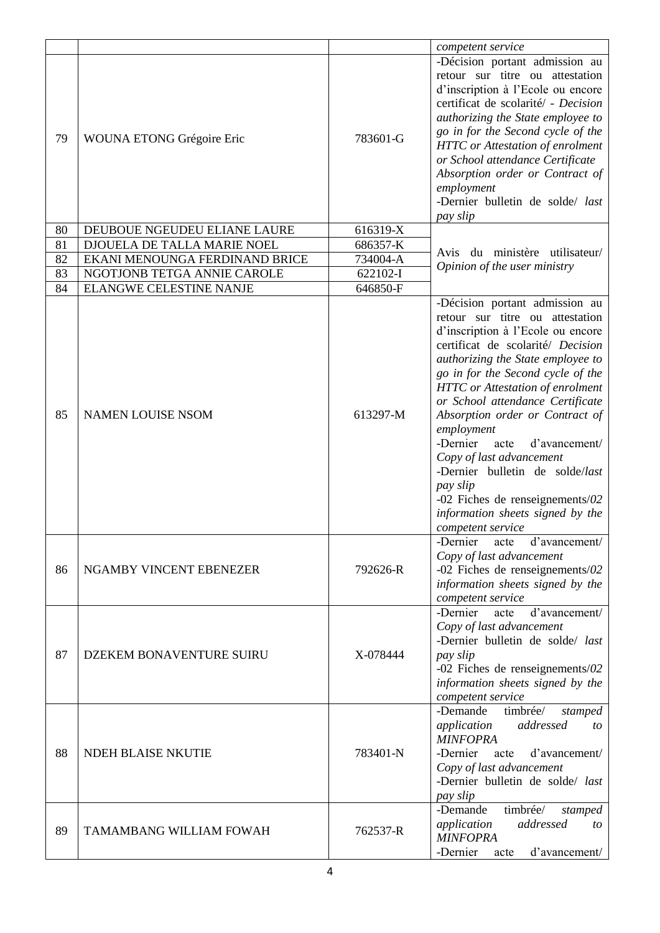|    |                                |          | competent service                                                                                                                                                                                                                                                                                                                                                                                                                                                                                                                                          |
|----|--------------------------------|----------|------------------------------------------------------------------------------------------------------------------------------------------------------------------------------------------------------------------------------------------------------------------------------------------------------------------------------------------------------------------------------------------------------------------------------------------------------------------------------------------------------------------------------------------------------------|
| 79 | WOUNA ETONG Grégoire Eric      | 783601-G | -Décision portant admission au<br>retour sur titre ou attestation<br>d'inscription à l'Ecole ou encore<br>certificat de scolarité/ - Decision<br>authorizing the State employee to<br>go in for the Second cycle of the<br><b>HTTC</b> or Attestation of enrolment<br>or School attendance Certificate<br>Absorption order or Contract of<br>employment<br>-Dernier bulletin de solde/ last<br>pay slip                                                                                                                                                    |
| 80 | DEUBOUE NGEUDEU ELIANE LAURE   | 616319-X |                                                                                                                                                                                                                                                                                                                                                                                                                                                                                                                                                            |
| 81 | DJOUELA DE TALLA MARIE NOEL    | 686357-K | du ministère utilisateur/<br>Avis                                                                                                                                                                                                                                                                                                                                                                                                                                                                                                                          |
| 82 | EKANI MENOUNGA FERDINAND BRICE | 734004-A | Opinion of the user ministry                                                                                                                                                                                                                                                                                                                                                                                                                                                                                                                               |
| 83 | NGOTJONB TETGA ANNIE CAROLE    | 622102-I |                                                                                                                                                                                                                                                                                                                                                                                                                                                                                                                                                            |
| 84 | <b>ELANGWE CELESTINE NANJE</b> | 646850-F |                                                                                                                                                                                                                                                                                                                                                                                                                                                                                                                                                            |
| 85 | <b>NAMEN LOUISE NSOM</b>       | 613297-M | -Décision portant admission au<br>retour sur titre ou attestation<br>d'inscription à l'Ecole ou encore<br>certificat de scolarité/ Decision<br>authorizing the State employee to<br>go in for the Second cycle of the<br>HTTC or Attestation of enrolment<br>or School attendance Certificate<br>Absorption order or Contract of<br>employment<br>-Dernier<br>d'avancement/<br>acte<br>Copy of last advancement<br>-Dernier bulletin de solde/last<br>pay slip<br>-02 Fiches de renseignements/02<br>information sheets signed by the<br>competent service |
| 86 | NGAMBY VINCENT EBENEZER        | 792626-R | d'avancement/<br>-Dernier<br>acte<br>Copy of last advancement<br>-02 Fiches de renseignements/02<br>information sheets signed by the<br>competent service                                                                                                                                                                                                                                                                                                                                                                                                  |
| 87 | DZEKEM BONAVENTURE SUIRU       | X-078444 | d'avancement/<br>-Dernier<br>acte<br>Copy of last advancement<br>-Dernier bulletin de solde/ last<br>pay slip<br>-02 Fiches de renseignements/02<br>information sheets signed by the<br>competent service                                                                                                                                                                                                                                                                                                                                                  |
| 88 | NDEH BLAISE NKUTIE             | 783401-N | -Demande<br>timbrée/<br>stamped<br>application<br>addressed<br>to<br><b>MINFOPRA</b><br>-Dernier<br>d'avancement/<br>acte<br>Copy of last advancement<br>-Dernier bulletin de solde/ last<br>pay slip                                                                                                                                                                                                                                                                                                                                                      |
| 89 | TAMAMBANG WILLIAM FOWAH        | 762537-R | timbrée/<br>-Demande<br>stamped<br>addressed<br>application<br>to<br><b>MINFOPRA</b><br>-Dernier<br>d'avancement/<br>acte                                                                                                                                                                                                                                                                                                                                                                                                                                  |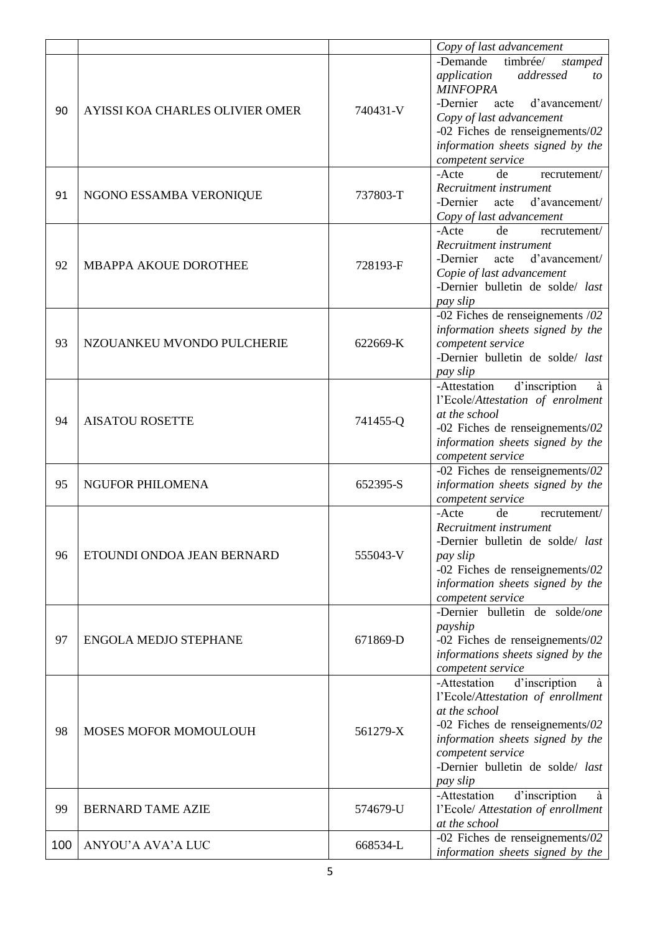|     |                                 |          | Copy of last advancement                                                                                                                                                                                                                          |
|-----|---------------------------------|----------|---------------------------------------------------------------------------------------------------------------------------------------------------------------------------------------------------------------------------------------------------|
| 90  | AYISSI KOA CHARLES OLIVIER OMER | 740431-V | -Demande<br>timbrée/<br>stamped<br>application<br>addressed<br>to<br><b>MINFOPRA</b><br>d'avancement/<br>-Dernier<br>acte<br>Copy of last advancement<br>-02 Fiches de renseignements/02<br>information sheets signed by the<br>competent service |
| 91  | NGONO ESSAMBA VERONIQUE         | 737803-T | -Acte<br>de<br>recrutement/<br>Recruitment instrument<br>-Dernier<br>acte d'avancement/<br>Copy of last advancement                                                                                                                               |
| 92  | <b>MBAPPA AKOUE DOROTHEE</b>    | 728193-F | recrutement/<br>-Acte<br>de<br>Recruitment instrument<br>-Dernier<br>acte<br>d'avancement/<br>Copie of last advancement<br>-Dernier bulletin de solde/ last<br>pay slip                                                                           |
| 93  | NZOUANKEU MVONDO PULCHERIE      | 622669-K | -02 Fiches de renseignements $/02$<br>information sheets signed by the<br>competent service<br>-Dernier bulletin de solde/ last<br>pay slip                                                                                                       |
| 94  | <b>AISATOU ROSETTE</b>          | 741455-Q | -Attestation<br>d'inscription<br>à<br>l'Ecole/Attestation of enrolment<br>at the school<br>-02 Fiches de renseignements/02<br>information sheets signed by the<br>competent service                                                               |
| 95  | <b>NGUFOR PHILOMENA</b>         | 652395-S | -02 Fiches de renseignements/02<br>information sheets signed by the<br>competent service                                                                                                                                                          |
| 96  | ETOUNDI ONDOA JEAN BERNARD      | 555043-V | -Acte<br>de<br>recrutement/<br>Recruitment instrument<br>-Dernier bulletin de solde/ last<br>pay slip<br>-02 Fiches de renseignements/02<br>information sheets signed by the<br>competent service                                                 |
| 97  | <b>ENGOLA MEDJO STEPHANE</b>    | 671869-D | -Dernier bulletin de solde/one<br>payship<br>-02 Fiches de renseignements/02<br>informations sheets signed by the<br>competent service                                                                                                            |
| 98  | MOSES MOFOR MOMOULOUH           | 561279-X | d'inscription<br>-Attestation<br>à<br>l'Ecole/Attestation of enrollment<br>at the school<br>-02 Fiches de renseignements/02<br>information sheets signed by the<br>competent service<br>-Dernier bulletin de solde/ last<br>pay slip              |
| 99  | <b>BERNARD TAME AZIE</b>        | 574679-U | d'inscription<br>-Attestation<br>à<br>l'Ecole/ Attestation of enrollment<br>at the school                                                                                                                                                         |
| 100 | ANYOU'A AVA'A LUC               | 668534-L | -02 Fiches de renseignements/02<br>information sheets signed by the                                                                                                                                                                               |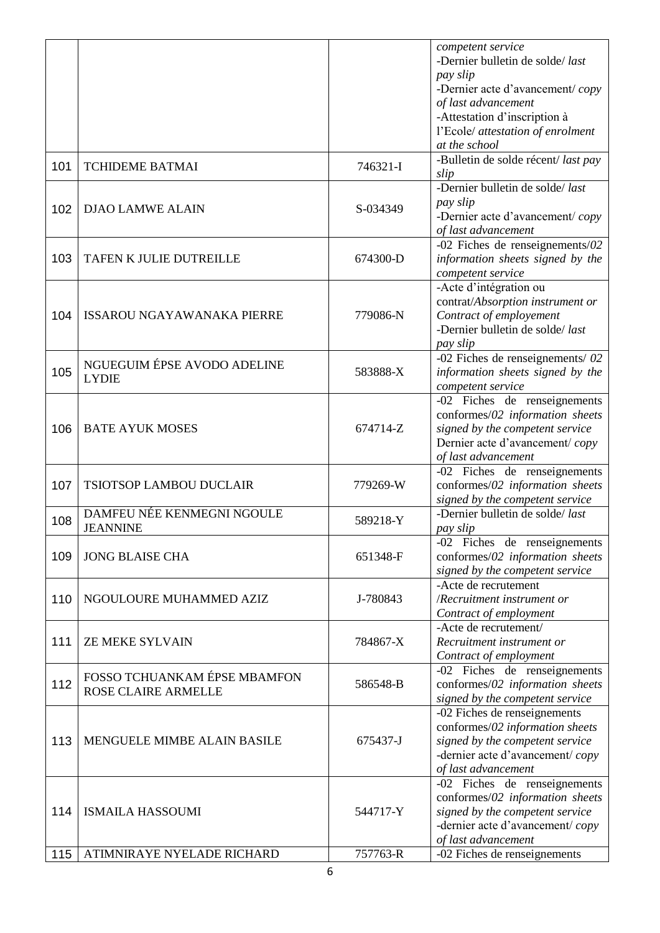|     |                                   |          | competent service                  |
|-----|-----------------------------------|----------|------------------------------------|
|     |                                   |          | -Dernier bulletin de solde/last    |
|     |                                   |          | pay slip                           |
|     |                                   |          | -Dernier acte d'avancement/copy    |
|     |                                   |          | of last advancement                |
|     |                                   |          | -Attestation d'inscription à       |
|     |                                   |          | l'Ecole/ attestation of enrolment  |
|     |                                   |          | at the school                      |
| 101 | <b>TCHIDEME BATMAI</b>            | 746321-I | -Bulletin de solde récent/last pay |
|     |                                   |          | slip                               |
|     |                                   |          | -Dernier bulletin de solde/last    |
| 102 | <b>DJAO LAMWE ALAIN</b>           | S-034349 | pay slip                           |
|     |                                   |          | -Dernier acte d'avancement/copy    |
|     |                                   |          | of last advancement                |
|     |                                   |          | -02 Fiches de renseignements/02    |
| 103 | TAFEN K JULIE DUTREILLE           | 674300-D | information sheets signed by the   |
|     |                                   |          | competent service                  |
|     |                                   |          | -Acte d'intégration ou             |
|     |                                   |          | contrat/Absorption instrument or   |
| 104 | <b>ISSAROU NGAYAWANAKA PIERRE</b> | 779086-N | Contract of employement            |
|     |                                   |          | -Dernier bulletin de solde/last    |
|     |                                   |          | pay slip                           |
|     |                                   |          | -02 Fiches de renseignements/ $02$ |
| 105 | NGUEGUIM ÉPSE AVODO ADELINE       | 583888-X | information sheets signed by the   |
|     | <b>LYDIE</b>                      |          | competent service                  |
|     |                                   |          | -02 Fiches de renseignements       |
|     |                                   |          |                                    |
|     |                                   | 674714-Z | conformes/02 information sheets    |
| 106 | <b>BATE AYUK MOSES</b>            |          | signed by the competent service    |
|     |                                   |          | Dernier acte d'avancement/copy     |
|     |                                   |          | of last advancement                |
|     |                                   |          | -02 Fiches de renseignements       |
| 107 | <b>TSIOTSOP LAMBOU DUCLAIR</b>    | 779269-W | conformes/02 information sheets    |
|     |                                   |          | signed by the competent service    |
| 108 | DAMFEU NÉE KENMEGNI NGOULE        | 589218-Y | -Dernier bulletin de solde/last    |
|     | <b>JEANNINE</b>                   |          | pay slip                           |
|     |                                   |          | -02 Fiches de renseignements       |
| 109 | <b>JONG BLAISE CHA</b>            | 651348-F | conformes/02 information sheets    |
|     |                                   |          | signed by the competent service    |
|     |                                   |          | -Acte de recrutement               |
| 110 | NGOULOURE MUHAMMED AZIZ           | J-780843 | /Recruitment instrument or         |
|     |                                   |          | Contract of employment             |
|     |                                   |          | -Acte de recrutement/              |
| 111 | <b>ZE MEKE SYLVAIN</b>            | 784867-X | Recruitment instrument or          |
|     |                                   |          | Contract of employment             |
|     | FOSSO TCHUANKAM ÉPSE MBAMFON      |          | -02 Fiches de renseignements       |
| 112 | <b>ROSE CLAIRE ARMELLE</b>        | 586548-B | conformes/02 information sheets    |
|     |                                   |          | signed by the competent service    |
|     |                                   |          | -02 Fiches de renseignements       |
|     |                                   |          | conformes/02 information sheets    |
| 113 | MENGUELE MIMBE ALAIN BASILE       | 675437-J | signed by the competent service    |
|     |                                   |          | -dernier acte d'avancement/copy    |
|     |                                   |          | of last advancement                |
|     |                                   |          | $-02$ Fiches de renseignements     |
|     |                                   |          | conformes/02 information sheets    |
| 114 | <b>ISMAILA HASSOUMI</b>           | 544717-Y | signed by the competent service    |
|     |                                   |          | -dernier acte d'avancement/copy    |
|     |                                   |          | of last advancement                |
| 115 | ATIMNIRAYE NYELADE RICHARD        | 757763-R | -02 Fiches de renseignements       |
|     |                                   |          |                                    |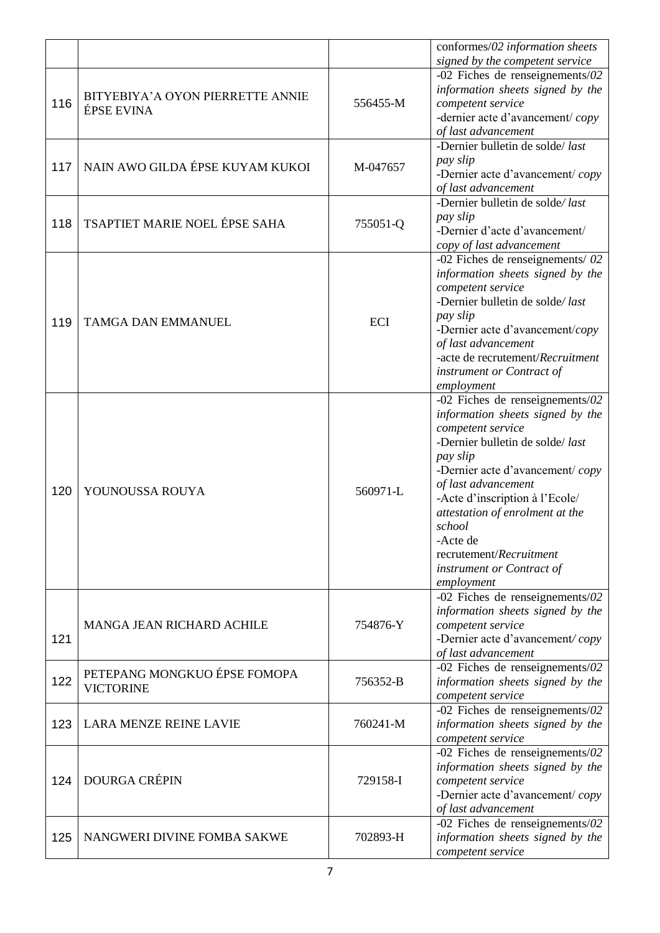|     |                                                  |          | conformes/02 information sheets<br>signed by the competent service                                                                                                                                                                                                                                                                                                 |
|-----|--------------------------------------------------|----------|--------------------------------------------------------------------------------------------------------------------------------------------------------------------------------------------------------------------------------------------------------------------------------------------------------------------------------------------------------------------|
| 116 | BITYEBIYA'A OYON PIERRETTE ANNIE<br>ÉPSE EVINA   | 556455-M | -02 Fiches de renseignements/02<br>information sheets signed by the<br>competent service<br>-dernier acte d'avancement/copy<br>of last advancement                                                                                                                                                                                                                 |
| 117 | NAIN AWO GILDA ÉPSE KUYAM KUKOI                  | M-047657 | -Dernier bulletin de solde/last<br>pay slip<br>-Dernier acte d'avancement/copy<br>of last advancement                                                                                                                                                                                                                                                              |
| 118 | TSAPTIET MARIE NOEL ÉPSE SAHA                    | 755051-Q | -Dernier bulletin de solde/last<br>pay slip<br>-Dernier d'acte d'avancement/<br>copy of last advancement                                                                                                                                                                                                                                                           |
| 119 | <b>TAMGA DAN EMMANUEL</b>                        | ECI      | -02 Fiches de renseignements/ $02$<br>information sheets signed by the<br>competent service<br>-Dernier bulletin de solde/last<br>pay slip<br>-Dernier acte d'avancement/copy<br>of last advancement<br>-acte de recrutement/Recruitment<br>instrument or Contract of<br>employment                                                                                |
| 120 | YOUNOUSSA ROUYA                                  | 560971-L | -02 Fiches de renseignements/02<br>information sheets signed by the<br>competent service<br>-Dernier bulletin de solde/last<br>pay slip<br>-Dernier acte d'avancement/copy<br>of last advancement<br>-Acte d'inscription à l'Ecole/<br>attestation of enrolment at the<br>school<br>-Acte de<br>recrutement/Recruitment<br>instrument or Contract of<br>employment |
| 121 | MANGA JEAN RICHARD ACHILE                        | 754876-Y | -02 Fiches de renseignements/02<br>information sheets signed by the<br>competent service<br>-Dernier acte d'avancement/copy<br>of last advancement                                                                                                                                                                                                                 |
| 122 | PETEPANG MONGKUO ÉPSE FOMOPA<br><b>VICTORINE</b> | 756352-B | -02 Fiches de renseignements/02<br>information sheets signed by the<br>competent service                                                                                                                                                                                                                                                                           |
| 123 | <b>LARA MENZE REINE LAVIE</b>                    | 760241-M | -02 Fiches de renseignements/02<br>information sheets signed by the<br>competent service                                                                                                                                                                                                                                                                           |
| 124 | <b>DOURGA CRÉPIN</b>                             | 729158-I | -02 Fiches de renseignements/02<br>information sheets signed by the<br>competent service<br>-Dernier acte d'avancement/copy<br>of last advancement                                                                                                                                                                                                                 |
| 125 | NANGWERI DIVINE FOMBA SAKWE                      | 702893-H | -02 Fiches de renseignements/02<br>information sheets signed by the<br>competent service                                                                                                                                                                                                                                                                           |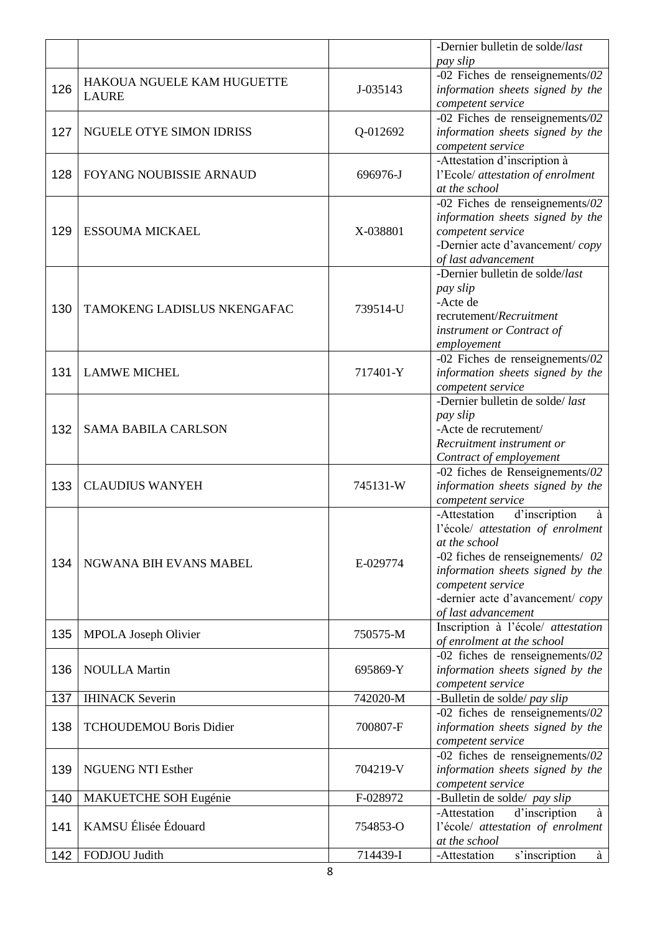|     |                                |          | -Dernier bulletin de solde/last              |
|-----|--------------------------------|----------|----------------------------------------------|
|     |                                |          | pay slip                                     |
|     | HAKOUA NGUELE KAM HUGUETTE     |          | -02 Fiches de renseignements/02              |
| 126 | <b>LAURE</b>                   | J-035143 | information sheets signed by the             |
|     |                                |          | competent service                            |
|     |                                |          | -02 Fiches de renseignements/02              |
| 127 | NGUELE OTYE SIMON IDRISS       | Q-012692 | information sheets signed by the             |
|     |                                |          | competent service                            |
|     |                                |          | -Attestation d'inscription à                 |
| 128 | FOYANG NOUBISSIE ARNAUD        | 696976-J | l'Ecole/ attestation of enrolment            |
|     |                                |          | at the school                                |
|     |                                |          | -02 Fiches de renseignements/02              |
|     |                                |          | information sheets signed by the             |
| 129 | <b>ESSOUMA MICKAEL</b>         | X-038801 | competent service                            |
|     |                                |          | -Dernier acte d'avancement/copy              |
|     |                                |          | of last advancement                          |
|     |                                |          | -Dernier bulletin de solde/last              |
|     |                                |          | pay slip                                     |
|     |                                |          | -Acte de                                     |
| 130 | TAMOKENG LADISLUS NKENGAFAC    | 739514-U | recrutement/Recruitment                      |
|     |                                |          | instrument or Contract of                    |
|     |                                |          | employement                                  |
|     |                                |          | -02 Fiches de renseignements/02              |
| 131 | <b>LAMWE MICHEL</b>            | 717401-Y | information sheets signed by the             |
|     |                                |          | competent service                            |
|     |                                |          | -Dernier bulletin de solde/last              |
|     |                                |          | pay slip                                     |
| 132 | <b>SAMA BABILA CARLSON</b>     |          | -Acte de recrutement/                        |
|     |                                |          | Recruitment instrument or                    |
|     |                                |          | Contract of employement                      |
|     |                                |          | -02 fiches de Renseignements/02              |
| 133 | <b>CLAUDIUS WANYEH</b>         | 745131-W | information sheets signed by the             |
|     |                                |          | competent service                            |
|     |                                |          | -Attestation<br>d'inscription<br>à           |
|     |                                |          | l'école/ attestation of enrolment            |
|     |                                |          | at the school                                |
|     |                                |          | -02 fiches de renseignements/ $02$           |
| 134 | NGWANA BIH EVANS MABEL         | E-029774 | information sheets signed by the             |
|     |                                |          |                                              |
|     |                                |          | competent service                            |
|     |                                |          | -dernier acte d'avancement/copy              |
|     |                                |          | of last advancement                          |
| 135 | <b>MPOLA</b> Joseph Olivier    | 750575-M | Inscription à l'école/ attestation           |
|     |                                |          | of enrolment at the school                   |
|     |                                |          | $\overline{-02}$ fiches de renseignements/02 |
| 136 | <b>NOULLA Martin</b>           | 695869-Y | information sheets signed by the             |
|     |                                |          | competent service                            |
| 137 | <b>IHINACK</b> Severin         | 742020-M | -Bulletin de solde/ pay slip                 |
|     |                                |          | -02 fiches de renseignements/02              |
| 138 | <b>TCHOUDEMOU Boris Didier</b> | 700807-F | information sheets signed by the             |
|     |                                |          | competent service                            |
|     |                                |          | -02 fiches de renseignements/02              |
| 139 | <b>NGUENG NTI Esther</b>       | 704219-V | information sheets signed by the             |
|     |                                |          | competent service                            |
| 140 | MAKUETCHE SOH Eugénie          | F-028972 | -Bulletin de solde/ pay slip                 |
|     |                                |          | d'inscription<br>-Attestation<br>à           |
| 141 | KAMSU Élisée Édouard           | 754853-O | l'école/ attestation of enrolment            |
|     |                                |          | at the school                                |
| 142 | FODJOU Judith                  | 714439-I | s'inscription<br>-Attestation<br>à           |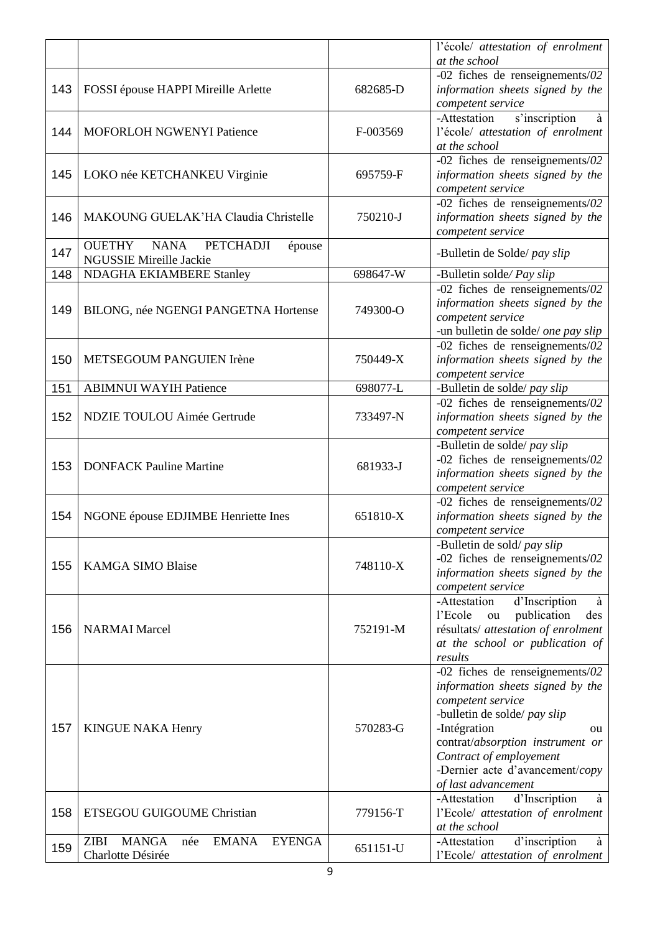|     |                                                                                          |          | l'école/ attestation of enrolment<br>at the school                                                                                                                                                                                                                                 |
|-----|------------------------------------------------------------------------------------------|----------|------------------------------------------------------------------------------------------------------------------------------------------------------------------------------------------------------------------------------------------------------------------------------------|
| 143 | FOSSI épouse HAPPI Mireille Arlette                                                      | 682685-D | -02 fiches de renseignements/02<br>information sheets signed by the<br>competent service                                                                                                                                                                                           |
| 144 | MOFORLOH NGWENYI Patience                                                                | F-003569 | -Attestation<br>s'inscription<br>à<br>l'école/ attestation of enrolment<br>at the school                                                                                                                                                                                           |
| 145 | LOKO née KETCHANKEU Virginie                                                             | 695759-F | -02 fiches de renseignements/02<br>information sheets signed by the<br>competent service                                                                                                                                                                                           |
| 146 | MAKOUNG GUELAK'HA Claudia Christelle                                                     | 750210-J | -02 fiches de renseignements/02<br>information sheets signed by the<br>competent service                                                                                                                                                                                           |
| 147 | <b>OUETHY</b><br><b>NANA</b><br><b>PETCHADJI</b><br>épouse<br>NGUSSIE Mireille Jackie    |          | -Bulletin de Solde/ pay slip                                                                                                                                                                                                                                                       |
| 148 | <b>NDAGHA EKIAMBERE Stanley</b>                                                          | 698647-W | -Bulletin solde/ Pay slip                                                                                                                                                                                                                                                          |
| 149 | BILONG, née NGENGI PANGETNA Hortense                                                     | 749300-O | -02 fiches de renseignements/02<br>information sheets signed by the<br>competent service<br>-un bulletin de solde/ one pay slip                                                                                                                                                    |
| 150 | METSEGOUM PANGUIEN Irène                                                                 | 750449-X | -02 fiches de renseignements/02<br>information sheets signed by the<br>competent service                                                                                                                                                                                           |
| 151 | <b>ABIMNUI WAYIH Patience</b>                                                            | 698077-L | -Bulletin de solde/ pay slip                                                                                                                                                                                                                                                       |
| 152 | <b>NDZIE TOULOU Aimée Gertrude</b>                                                       | 733497-N | -02 fiches de renseignements/02<br>information sheets signed by the<br>competent service                                                                                                                                                                                           |
| 153 | <b>DONFACK Pauline Martine</b>                                                           | 681933-J | -Bulletin de solde/ pay slip<br>-02 fiches de renseignements/02<br>information sheets signed by the<br>competent service                                                                                                                                                           |
| 154 | NGONE épouse EDJIMBE Henriette Ines                                                      | 651810-X | -02 fiches de renseignements/02<br>information sheets signed by the<br>competent service                                                                                                                                                                                           |
| 155 | <b>KAMGA SIMO Blaise</b>                                                                 | 748110-X | -Bulletin de sold/pay slip<br>-02 fiches de renseignements/02<br>information sheets signed by the<br>competent service                                                                                                                                                             |
| 156 | <b>NARMAI</b> Marcel                                                                     | 752191-M | d'Inscription<br>-Attestation<br>à<br>publication<br>l'Ecole<br>des<br>ou<br>résultats/ attestation of enrolment<br>at the school or publication of<br>results                                                                                                                     |
| 157 | <b>KINGUE NAKA Henry</b>                                                                 | 570283-G | -02 fiches de renseignements/02<br>information sheets signed by the<br>competent service<br>-bulletin de solde/ pay slip<br>-Intégration<br><sub>ou</sub><br>contrat/absorption instrument or<br>Contract of employement<br>-Dernier acte d'avancement/copy<br>of last advancement |
| 158 | ETSEGOU GUIGOUME Christian                                                               | 779156-T | d'Inscription<br>-Attestation<br>à<br>l'Ecole/ attestation of enrolment<br>at the school                                                                                                                                                                                           |
| 159 | <b>MANGA</b><br><b>EMANA</b><br><b>EYENGA</b><br><b>ZIBI</b><br>née<br>Charlotte Désirée | 651151-U | d'inscription<br>-Attestation<br>à<br>l'Ecole/ attestation of enrolment                                                                                                                                                                                                            |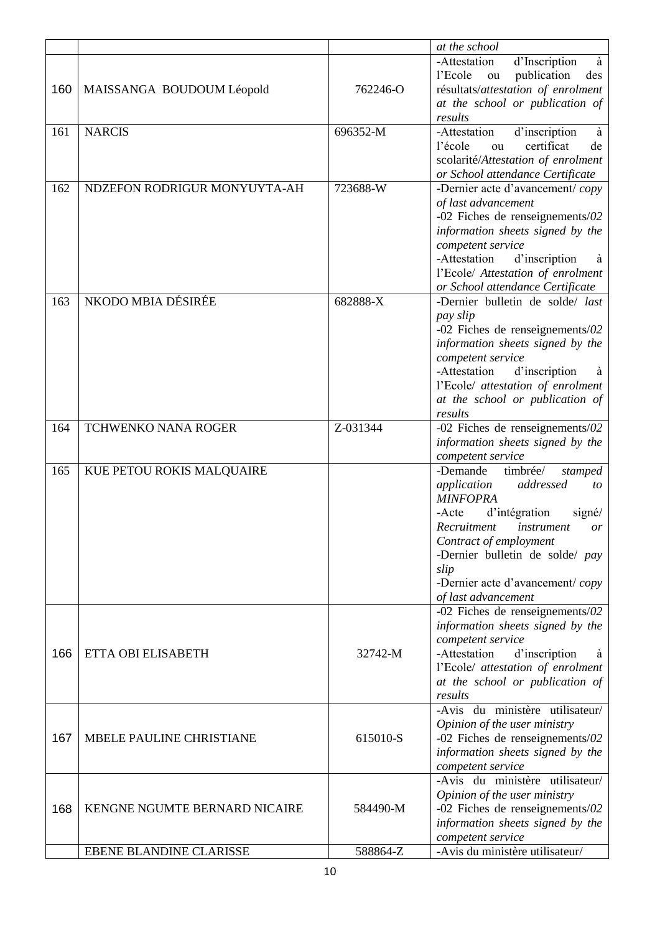|     |                                 |          | at the school                                                                                                                                                                                                                                                                              |
|-----|---------------------------------|----------|--------------------------------------------------------------------------------------------------------------------------------------------------------------------------------------------------------------------------------------------------------------------------------------------|
| 160 | MAISSANGA BOUDOUM Léopold       | 762246-O | -Attestation<br>d'Inscription<br>à<br>l'Ecole<br>publication<br>des<br>ou<br>résultats/attestation of enrolment<br>at the school or publication of                                                                                                                                         |
|     |                                 |          | results                                                                                                                                                                                                                                                                                    |
| 161 | <b>NARCIS</b>                   | 696352-M | -Attestation<br>d'inscription<br>à<br>certificat<br>l'école<br>de<br>ou<br>scolarité/Attestation of enrolment<br>or School attendance Certificate                                                                                                                                          |
| 162 | NDZEFON RODRIGUR MONYUYTA-AH    | 723688-W | -Dernier acte d'avancement/copy<br>of last advancement<br>-02 Fiches de renseignements/02<br>information sheets signed by the<br>competent service<br>-Attestation<br>d'inscription<br>à<br>l'Ecole/ Attestation of enrolment<br>or School attendance Certificate                          |
| 163 | NKODO MBIA DÉSIRÉE              | 682888-X | -Dernier bulletin de solde/ last<br>pay slip<br>-02 Fiches de renseignements/02<br>information sheets signed by the<br>competent service<br>-Attestation<br>d'inscription<br>à<br>l'Ecole/ attestation of enrolment<br>at the school or publication of<br>results                          |
| 164 | <b>TCHWENKO NANA ROGER</b>      | Z-031344 | -02 Fiches de renseignements/02<br>information sheets signed by the<br>competent service                                                                                                                                                                                                   |
| 165 | KUE PETOU ROKIS MALQUAIRE       |          | -Demande<br>timbrée/<br>stamped<br>addressed<br>application<br>to<br><b>MINFOPRA</b><br>d'intégration<br>-Acte<br>signé/<br>Recruitment<br>instrument<br>or<br>Contract of employment<br>-Dernier bulletin de solde/ pay<br>slip<br>-Dernier acte d'avancement/copy<br>of last advancement |
| 166 | ETTA OBI ELISABETH              | 32742-M  | -02 Fiches de renseignements/02<br>information sheets signed by the<br>competent service<br>-Attestation<br>d'inscription<br>à<br>l'Ecole/ attestation of enrolment<br>at the school or publication of<br>results                                                                          |
| 167 | <b>MBELE PAULINE CHRISTIANE</b> | 615010-S | -Avis du ministère utilisateur/<br>Opinion of the user ministry<br>-02 Fiches de renseignements/02<br>information sheets signed by the<br>competent service                                                                                                                                |
| 168 | KENGNE NGUMTE BERNARD NICAIRE   | 584490-M | -Avis du ministère utilisateur/<br>Opinion of the user ministry<br>-02 Fiches de renseignements/02<br>information sheets signed by the<br>competent service                                                                                                                                |
|     | EBENE BLANDINE CLARISSE         | 588864-Z | -Avis du ministère utilisateur/                                                                                                                                                                                                                                                            |
|     |                                 |          |                                                                                                                                                                                                                                                                                            |